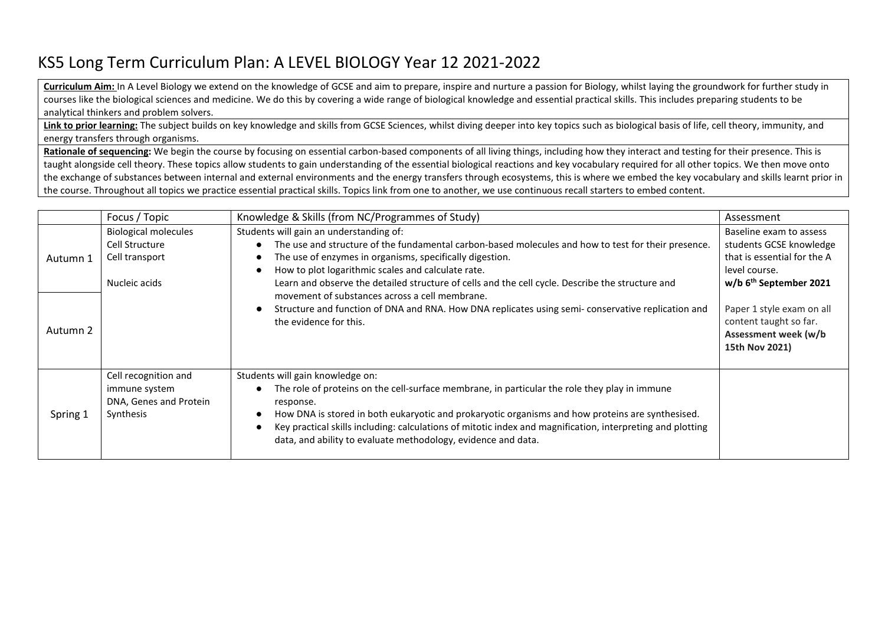## KS5 Long Term Curriculum Plan: A LEVEL BIOLOGY Year 12 2021-2022

**Curriculum Aim:** In A Level Biology we extend on the knowledge of GCSE and aim to prepare, inspire and nurture a passion for Biology, whilst laying the groundwork for further study in courses like the biological sciences and medicine. We do this by covering a wide range of biological knowledge and essential practical skills. This includes preparing students to be analytical thinkers and problem solvers.

Link to prior learning: The subject builds on key knowledge and skills from GCSE Sciences, whilst diving deeper into key topics such as biological basis of life, cell theory, immunity, and energy transfers through organisms.

**Rationale of sequencing:** We begin the course by focusing on essential carbon-based components of all living things, including how they interact and testing for their presence. This is taught alongside cell theory. These topics allow students to gain understanding of the essential biological reactions and key vocabulary required for all other topics. We then move onto the exchange of substances between internal and external environments and the energy transfers through ecosystems, this is where we embed the key vocabulary and skills learnt prior in the course. Throughout all topics we practice essential practical skills. Topics link from one to another, we use continuous recall starters to embed content.

|          | Focus / Topic                                                                    | Knowledge & Skills (from NC/Programmes of Study)                                                                                                                                                                                                                                                                                                                                                                                  | Assessment                                                                                                                               |
|----------|----------------------------------------------------------------------------------|-----------------------------------------------------------------------------------------------------------------------------------------------------------------------------------------------------------------------------------------------------------------------------------------------------------------------------------------------------------------------------------------------------------------------------------|------------------------------------------------------------------------------------------------------------------------------------------|
| Autumn 1 | <b>Biological molecules</b><br>Cell Structure<br>Cell transport<br>Nucleic acids | Students will gain an understanding of:<br>The use and structure of the fundamental carbon-based molecules and how to test for their presence.<br>The use of enzymes in organisms, specifically digestion.<br>How to plot logarithmic scales and calculate rate.<br>Learn and observe the detailed structure of cells and the cell cycle. Describe the structure and<br>movement of substances across a cell membrane.            | Baseline exam to assess<br>students GCSE knowledge<br>that is essential for the A<br>level course.<br>w/b 6 <sup>th</sup> September 2021 |
| Autumn 2 |                                                                                  | Structure and function of DNA and RNA. How DNA replicates using semi-conservative replication and<br>the evidence for this.                                                                                                                                                                                                                                                                                                       | Paper 1 style exam on all<br>content taught so far.<br>Assessment week (w/b<br>15th Nov 2021)                                            |
| Spring 1 | Cell recognition and<br>immune system<br>DNA, Genes and Protein<br>Synthesis     | Students will gain knowledge on:<br>The role of proteins on the cell-surface membrane, in particular the role they play in immune<br>response.<br>How DNA is stored in both eukaryotic and prokaryotic organisms and how proteins are synthesised.<br>Key practical skills including: calculations of mitotic index and magnification, interpreting and plotting<br>data, and ability to evaluate methodology, evidence and data. |                                                                                                                                          |